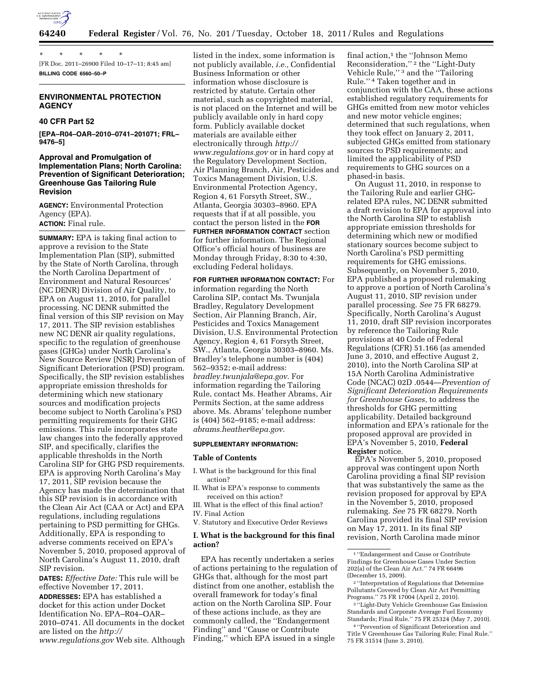

\* \* \* \* \* [FR Doc. 2011–26900 Filed 10–17–11; 8:45 am] **BILLING CODE 6560–50–P** 

# **ENVIRONMENTAL PROTECTION AGENCY**

### **40 CFR Part 52**

**[EPA–R04–OAR–2010–0741–201071; FRL– 9476–5]** 

## **Approval and Promulgation of Implementation Plans; North Carolina: Prevention of Significant Deterioration; Greenhouse Gas Tailoring Rule Revision**

**AGENCY:** Environmental Protection Agency (EPA). **ACTION:** Final rule.

**SUMMARY:** EPA is taking final action to approve a revision to the State Implementation Plan (SIP), submitted by the State of North Carolina, through the North Carolina Department of Environment and Natural Resources' (NC DENR) Division of Air Quality, to EPA on August 11, 2010, for parallel processing. NC DENR submitted the final version of this SIP revision on May 17, 2011. The SIP revision establishes new NC DENR air quality regulations, specific to the regulation of greenhouse gases (GHGs) under North Carolina's New Source Review (NSR) Prevention of Significant Deterioration (PSD) program. Specifically, the SIP revision establishes appropriate emission thresholds for determining which new stationary sources and modification projects become subject to North Carolina's PSD permitting requirements for their GHG emissions. This rule incorporates state law changes into the federally approved SIP, and specifically, clarifies the applicable thresholds in the North Carolina SIP for GHG PSD requirements. EPA is approving North Carolina's May 17, 2011, SIP revision because the Agency has made the determination that this SIP revision is in accordance with the Clean Air Act (CAA or Act) and EPA regulations, including regulations pertaining to PSD permitting for GHGs. Additionally, EPA is responding to adverse comments received on EPA's November 5, 2010, proposed approval of North Carolina's August 11, 2010, draft SIP revision.

**DATES:** *Effective Date:* This rule will be effective November 17, 2011.

**ADDRESSES:** EPA has established a docket for this action under Docket Identification No. EPA–R04–OAR– 2010–0741. All documents in the docket are listed on the *[http://](http://www.regulations.gov) [www.regulations.gov](http://www.regulations.gov)* Web site. Although

listed in the index, some information is not publicly available, *i.e.,* Confidential Business Information or other information whose disclosure is restricted by statute. Certain other material, such as copyrighted material, is not placed on the Internet and will be publicly available only in hard copy form. Publicly available docket materials are available either electronically through *[http://](http://www.regulations.gov) [www.regulations.gov](http://www.regulations.gov)* or in hard copy at the Regulatory Development Section, Air Planning Branch, Air, Pesticides and Toxics Management Division, U.S. Environmental Protection Agency, Region 4, 61 Forsyth Street, SW., Atlanta, Georgia 30303–8960. EPA requests that if at all possible, you contact the person listed in the **FOR FURTHER INFORMATION CONTACT** section for further information. The Regional Office's official hours of business are Monday through Friday, 8:30 to 4:30, excluding Federal holidays.

**FOR FURTHER INFORMATION CONTACT:** For information regarding the North Carolina SIP, contact Ms. Twunjala Bradley, Regulatory Development Section, Air Planning Branch, Air, Pesticides and Toxics Management Division, U.S. Environmental Protection Agency, Region 4, 61 Forsyth Street, SW., Atlanta, Georgia 30303–8960. Ms. Bradley's telephone number is (404) 562–9352; e-mail address: *[bradley.twunjala@epa.gov](mailto:bradley.twunjala@epa.gov)*. For information regarding the Tailoring Rule, contact Ms. Heather Abrams, Air Permits Section, at the same address above. Ms. Abrams' telephone number is (404) 562–9185; e-mail address: *[abrams.heather@epa.gov](mailto:abrams.heather@epa.gov)*.

#### **SUPPLEMENTARY INFORMATION:**

### **Table of Contents**

- I. What is the background for this final action?
- II. What is EPA's response to comments received on this action?
- III. What is the effect of this final action?
- IV. Final Action
- V. Statutory and Executive Order Reviews

## **I. What is the background for this final action?**

EPA has recently undertaken a series of actions pertaining to the regulation of GHGs that, although for the most part distinct from one another, establish the overall framework for today's final action on the North Carolina SIP. Four of these actions include, as they are commonly called, the ''Endangerment Finding'' and ''Cause or Contribute Finding,'' which EPA issued in a single

final action, $1$  the "Johnson Memo Reconsideration,'' 2 the ''Light-Duty Vehicle Rule,'' 3 and the ''Tailoring Rule.'' 4 Taken together and in conjunction with the CAA, these actions established regulatory requirements for GHGs emitted from new motor vehicles and new motor vehicle engines; determined that such regulations, when they took effect on January 2, 2011, subjected GHGs emitted from stationary sources to PSD requirements; and limited the applicability of PSD requirements to GHG sources on a phased-in basis.

On August 11, 2010, in response to the Tailoring Rule and earlier GHGrelated EPA rules, NC DENR submitted a draft revision to EPA for approval into the North Carolina SIP to establish appropriate emission thresholds for determining which new or modified stationary sources become subject to North Carolina's PSD permitting requirements for GHG emissions. Subsequently, on November 5, 2010, EPA published a proposed rulemaking to approve a portion of North Carolina's August 11, 2010, SIP revision under parallel processing. *See* 75 FR 68279. Specifically, North Carolina's August 11, 2010, draft SIP revision incorporates by reference the Tailoring Rule provisions at 40 Code of Federal Regulations (CFR) 51.166 (as amended June 3, 2010, and effective August 2, 2010), into the North Carolina SIP at 15A North Carolina Administrative Code (NCAC) 02D .0544—*Prevention of Significant Deterioration Requirements for Greenhouse Gases,* to address the thresholds for GHG permitting applicability. Detailed background information and EPA's rationale for the proposed approval are provided in EPA's November 5, 2010, **Federal Register** notice.

EPA's November 5, 2010, proposed approval was contingent upon North Carolina providing a final SIP revision that was substantively the same as the revision proposed for approval by EPA in the November 5, 2010, proposed rulemaking. *See* 75 FR 68279. North Carolina provided its final SIP revision on May 17, 2011. In its final SIP revision, North Carolina made minor

<sup>1</sup> ''Endangerment and Cause or Contribute Findings for Greenhouse Gases Under Section 202(a) of the Clean Air Act.'' 74 FR 66496 (December 15, 2009).

<sup>2</sup> ''Interpretation of Regulations that Determine Pollutants Covered by Clean Air Act Permitting Programs.'' 75 FR 17004 (April 2, 2010).

<sup>3</sup> ''Light-Duty Vehicle Greenhouse Gas Emission Standards and Corporate Average Fuel Economy Standards; Final Rule.'' 75 FR 25324 (May 7, 2010).

<sup>4</sup> ''Prevention of Significant Deterioration and Title V Greenhouse Gas Tailoring Rule; Final Rule.'' 75 FR 31514 (June 3, 2010).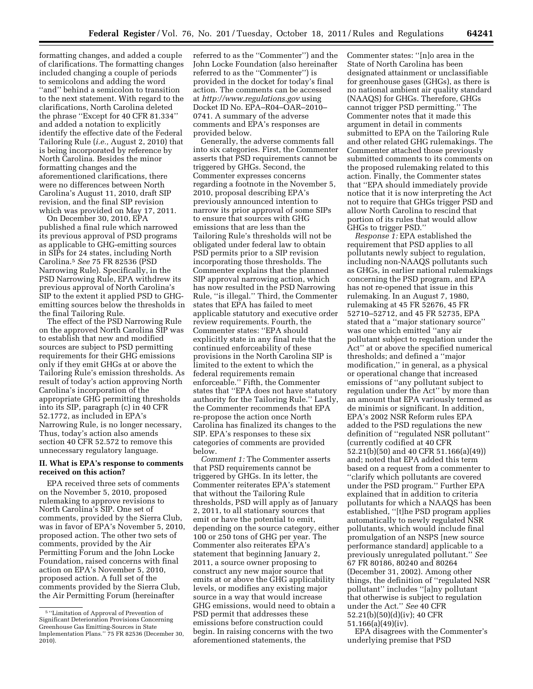formatting changes, and added a couple of clarifications. The formatting changes included changing a couple of periods to semicolons and adding the word ''and'' behind a semicolon to transition to the next statement. With regard to the clarifications, North Carolina deleted the phrase ''Except for 40 CFR 81.334'' and added a notation to explicitly identify the effective date of the Federal Tailoring Rule (*i.e.,* August 2, 2010) that is being incorporated by reference by North Carolina. Besides the minor formatting changes and the aforementioned clarifications, there were no differences between North Carolina's August 11, 2010, draft SIP revision, and the final SIP revision which was provided on May 17, 2011.

On December 30, 2010, EPA published a final rule which narrowed its previous approval of PSD programs as applicable to GHG-emitting sources in SIPs for 24 states, including North Carolina.5 *See* 75 FR 82536 (PSD Narrowing Rule). Specifically, in the PSD Narrowing Rule, EPA withdrew its previous approval of North Carolina's SIP to the extent it applied PSD to GHGemitting sources below the thresholds in the final Tailoring Rule.

The effect of the PSD Narrowing Rule on the approved North Carolina SIP was to establish that new and modified sources are subject to PSD permitting requirements for their GHG emissions only if they emit GHGs at or above the Tailoring Rule's emission thresholds. As result of today's action approving North Carolina's incorporation of the appropriate GHG permitting thresholds into its SIP, paragraph (c) in 40 CFR 52.1772, as included in EPA's Narrowing Rule, is no longer necessary, Thus, today's action also amends section 40 CFR 52.572 to remove this unnecessary regulatory language.

## **II. What is EPA's response to comments received on this action?**

EPA received three sets of comments on the November 5, 2010, proposed rulemaking to approve revisions to North Carolina's SIP. One set of comments, provided by the Sierra Club, was in favor of EPA's November 5, 2010, proposed action. The other two sets of comments, provided by the Air Permitting Forum and the John Locke Foundation, raised concerns with final action on EPA's November 5, 2010, proposed action. A full set of the comments provided by the Sierra Club, the Air Permitting Forum (hereinafter

referred to as the ''Commenter'') and the John Locke Foundation (also hereinafter referred to as the ''Commenter'') is provided in the docket for today's final action. The comments can be accessed at *<http://www.regulations.gov>* using Docket ID No. EPA–R04–OAR–2010– 0741. A summary of the adverse comments and EPA's responses are provided below.

Generally, the adverse comments fall into six categories. First, the Commenter asserts that PSD requirements cannot be triggered by GHGs. Second, the Commenter expresses concerns regarding a footnote in the November 5, 2010, proposal describing EPA's previously announced intention to narrow its prior approval of some SIPs to ensure that sources with GHG emissions that are less than the Tailoring Rule's thresholds will not be obligated under federal law to obtain PSD permits prior to a SIP revision incorporating those thresholds. The Commenter explains that the planned SIP approval narrowing action, which has now resulted in the PSD Narrowing Rule, ''is illegal.'' Third, the Commenter states that EPA has failed to meet applicable statutory and executive order review requirements. Fourth, the Commenter states: ''EPA should explicitly state in any final rule that the continued enforceability of these provisions in the North Carolina SIP is limited to the extent to which the federal requirements remain enforceable.'' Fifth, the Commenter states that ''EPA does not have statutory authority for the Tailoring Rule.'' Lastly, the Commenter recommends that EPA re-propose the action once North Carolina has finalized its changes to the SIP. EPA's responses to these six categories of comments are provided below.

*Comment 1:* The Commenter asserts that PSD requirements cannot be triggered by GHGs. In its letter, the Commenter reiterates EPA's statement that without the Tailoring Rule thresholds, PSD will apply as of January 2, 2011, to all stationary sources that emit or have the potential to emit, depending on the source category, either 100 or 250 tons of GHG per year. The Commenter also reiterates EPA's statement that beginning January 2, 2011, a source owner proposing to construct any new major source that emits at or above the GHG applicability levels, or modifies any existing major source in a way that would increase GHG emissions, would need to obtain a PSD permit that addresses these emissions before construction could begin. In raising concerns with the two aforementioned statements, the

Commenter states: ''[n]o area in the State of North Carolina has been designated attainment or unclassifiable for greenhouse gases (GHGs), as there is no national ambient air quality standard (NAAQS) for GHGs. Therefore, GHGs cannot trigger PSD permitting.'' The Commenter notes that it made this argument in detail in comments submitted to EPA on the Tailoring Rule and other related GHG rulemakings. The Commenter attached those previously submitted comments to its comments on the proposed rulemaking related to this action. Finally, the Commenter states that ''EPA should immediately provide notice that it is now interpreting the Act not to require that GHGs trigger PSD and allow North Carolina to rescind that portion of its rules that would allow GHGs to trigger PSD.''

*Response 1:* EPA established the requirement that PSD applies to all pollutants newly subject to regulation, including non-NAAQS pollutants such as GHGs, in earlier national rulemakings concerning the PSD program, and EPA has not re-opened that issue in this rulemaking. In an August 7, 1980, rulemaking at 45 FR 52676, 45 FR 52710–52712, and 45 FR 52735, EPA stated that a ''major stationary source'' was one which emitted ''any air pollutant subject to regulation under the Act'' at or above the specified numerical thresholds; and defined a ''major modification,'' in general, as a physical or operational change that increased emissions of ''any pollutant subject to regulation under the Act'' by more than an amount that EPA variously termed as de minimis or significant. In addition, EPA's 2002 NSR Reform rules EPA added to the PSD regulations the new definition of ''regulated NSR pollutant'' (currently codified at 40 CFR 52.21(b)(50) and 40 CFR 51.166(a)(49)) and; noted that EPA added this term based on a request from a commenter to ''clarify which pollutants are covered under the PSD program.'' Further EPA explained that in addition to criteria pollutants for which a NAAQS has been established, ''[t]he PSD program applies automatically to newly regulated NSR pollutants, which would include final promulgation of an NSPS [new source performance standard] applicable to a previously unregulated pollutant.'' *See*  67 FR 80186, 80240 and 80264 (December 31, 2002). Among other things, the definition of ''regulated NSR pollutant'' includes ''[a]ny pollutant that otherwise is subject to regulation under the Act.'' *See* 40 CFR 52.21(b)(50)(d)(iv); 40 CFR 51.166(a)(49)(iv).

EPA disagrees with the Commenter's underlying premise that PSD

<sup>5</sup> ''Limitation of Approval of Prevention of Significant Deterioration Provisions Concerning Greenhouse Gas Emitting-Sources in State Implementation Plans.'' 75 FR 82536 (December 30,  $2010$ ).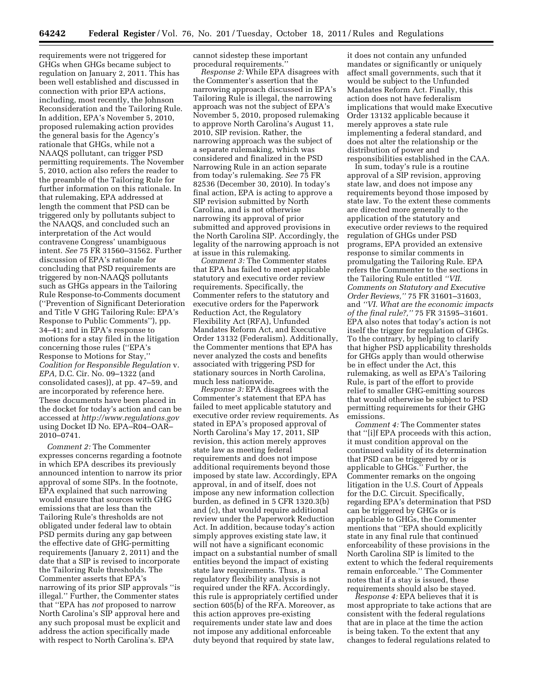requirements were not triggered for GHGs when GHGs became subject to regulation on January 2, 2011. This has been well established and discussed in connection with prior EPA actions, including, most recently, the Johnson Reconsideration and the Tailoring Rule. In addition, EPA's November 5, 2010, proposed rulemaking action provides the general basis for the Agency's rationale that GHGs, while not a NAAQS pollutant, can trigger PSD permitting requirements. The November 5, 2010, action also refers the reader to the preamble of the Tailoring Rule for further information on this rationale. In that rulemaking, EPA addressed at length the comment that PSD can be triggered only by pollutants subject to the NAAQS, and concluded such an interpretation of the Act would contravene Congress' unambiguous intent. *See* 75 FR 31560–31562. Further discussion of EPA's rationale for concluding that PSD requirements are triggered by non-NAAQS pollutants such as GHGs appears in the Tailoring Rule Response-to-Comments document (''Prevention of Significant Deterioration and Title V GHG Tailoring Rule: EPA's Response to Public Comments''), pp. 34–41; and in EPA's response to motions for a stay filed in the litigation concerning those rules (''EPA's Response to Motions for Stay,'' *Coalition for Responsible Regulation* v. *EPA,* D.C. Cir. No. 09–1322 (and consolidated cases)), at pp. 47–59, and are incorporated by reference here. These documents have been placed in the docket for today's action and can be accessed at *<http://www.regulations.gov>* using Docket ID No. EPA–R04–OAR– 2010–0741.

*Comment 2:* The Commenter expresses concerns regarding a footnote in which EPA describes its previously announced intention to narrow its prior approval of some SIPs. In the footnote, EPA explained that such narrowing would ensure that sources with GHG emissions that are less than the Tailoring Rule's thresholds are not obligated under federal law to obtain PSD permits during any gap between the effective date of GHG-permitting requirements (January 2, 2011) and the date that a SIP is revised to incorporate the Tailoring Rule thresholds. The Commenter asserts that EPA's narrowing of its prior SIP approvals ''is illegal.'' Further, the Commenter states that ''EPA has *not* proposed to narrow North Carolina's SIP approval here and any such proposal must be explicit and address the action specifically made with respect to North Carolina's. EPA

cannot sidestep these important procedural requirements.''

*Response 2:* While EPA disagrees with the Commenter's assertion that the narrowing approach discussed in EPA's Tailoring Rule is illegal, the narrowing approach was not the subject of EPA's November 5, 2010, proposed rulemaking to approve North Carolina's August 11, 2010, SIP revision. Rather, the narrowing approach was the subject of a separate rulemaking, which was considered and finalized in the PSD Narrowing Rule in an action separate from today's rulemaking. *See* 75 FR 82536 (December 30, 2010). In today's final action, EPA is acting to approve a SIP revision submitted by North Carolina, and is not otherwise narrowing its approval of prior submitted and approved provisions in the North Carolina SIP. Accordingly, the legality of the narrowing approach is not at issue in this rulemaking.

*Comment 3:* The Commenter states that EPA has failed to meet applicable statutory and executive order review requirements. Specifically, the Commenter refers to the statutory and executive orders for the Paperwork Reduction Act, the Regulatory Flexibility Act (RFA), Unfunded Mandates Reform Act, and Executive Order 13132 (Federalism). Additionally, the Commenter mentions that EPA has never analyzed the costs and benefits associated with triggering PSD for stationary sources in North Carolina, much less nationwide.

*Response 3:* EPA disagrees with the Commenter's statement that EPA has failed to meet applicable statutory and executive order review requirements. As stated in EPA's proposed approval of North Carolina's May 17, 2011, SIP revision, this action merely approves state law as meeting federal requirements and does not impose additional requirements beyond those imposed by state law. Accordingly, EPA approval, in and of itself, does not impose any new information collection burden, as defined in 5 CFR 1320.3(b) and (c), that would require additional review under the Paperwork Reduction Act. In addition, because today's action simply approves existing state law, it will not have a significant economic impact on a substantial number of small entities beyond the impact of existing state law requirements. Thus, a regulatory flexibility analysis is not required under the RFA. Accordingly, this rule is appropriately certified under section 605(b) of the RFA. Moreover, as this action approves pre-existing requirements under state law and does not impose any additional enforceable duty beyond that required by state law,

it does not contain any unfunded mandates or significantly or uniquely affect small governments, such that it would be subject to the Unfunded Mandates Reform Act. Finally, this action does not have federalism implications that would make Executive Order 13132 applicable because it merely approves a state rule implementing a federal standard, and does not alter the relationship or the distribution of power and

responsibilities established in the CAA. In sum, today's rule is a routine approval of a SIP revision, approving state law, and does not impose any requirements beyond those imposed by state law. To the extent these comments are directed more generally to the application of the statutory and executive order reviews to the required regulation of GHGs under PSD programs, EPA provided an extensive response to similar comments in promulgating the Tailoring Rule. EPA refers the Commenter to the sections in the Tailoring Rule entitled *''VII. Comments on Statutory and Executive Order Reviews,''* 75 FR 31601–31603, and *''VI. What are the economic impacts of the final rule?,''* 75 FR 31595–31601. EPA also notes that today's action is not itself the trigger for regulation of GHGs. To the contrary, by helping to clarify that higher PSD applicability thresholds for GHGs apply than would otherwise be in effect under the Act, this rulemaking, as well as EPA's Tailoring Rule, is part of the effort to provide relief to smaller GHG-emitting sources that would otherwise be subject to PSD permitting requirements for their GHG emissions.

*Comment 4:* The Commenter states that ''[i]f EPA proceeds with this action, it must condition approval on the continued validity of its determination that PSD can be triggered by or is applicable to GHGs.'' Further, the Commenter remarks on the ongoing litigation in the U.S. Court of Appeals for the D.C. Circuit. Specifically, regarding EPA's determination that PSD can be triggered by GHGs or is applicable to GHGs, the Commenter mentions that ''EPA should explicitly state in any final rule that continued enforceability of these provisions in the North Carolina SIP is limited to the extent to which the federal requirements remain enforceable.'' The Commenter notes that if a stay is issued, these requirements should also be stayed.

*Response 4:* EPA believes that it is most appropriate to take actions that are consistent with the federal regulations that are in place at the time the action is being taken. To the extent that any changes to federal regulations related to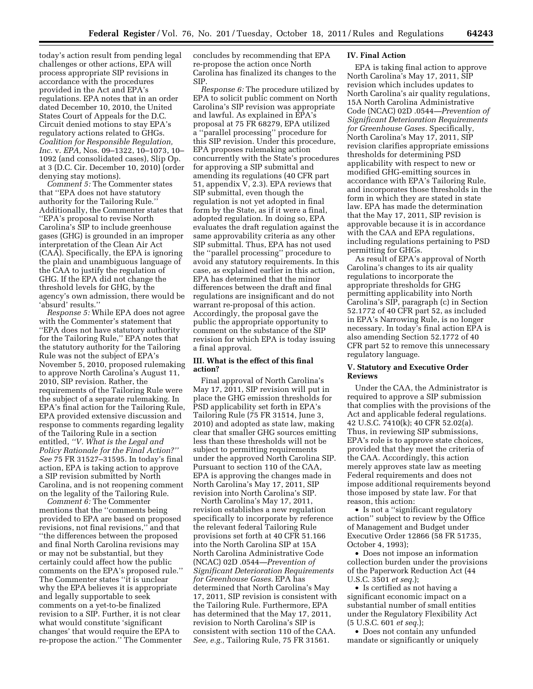today's action result from pending legal challenges or other actions, EPA will process appropriate SIP revisions in accordance with the procedures provided in the Act and EPA's regulations. EPA notes that in an order dated December 10, 2010, the United States Court of Appeals for the D.C. Circuit denied motions to stay EPA's regulatory actions related to GHGs. *Coalition for Responsible Regulation, Inc.* v. *EPA,* Nos. 09–1322, 10–1073, 10– 1092 (and consolidated cases), Slip Op. at 3 (D.C. Cir. December 10, 2010) (order denying stay motions).

*Comment 5:* The Commenter states that ''EPA does not have statutory authority for the Tailoring Rule.'' Additionally, the Commenter states that ''EPA's proposal to revise North Carolina's SIP to include greenhouse gases (GHG) is grounded in an improper interpretation of the Clean Air Act (CAA). Specifically, the EPA is ignoring the plain and unambiguous language of the CAA to justify the regulation of GHG. If the EPA did not change the threshold levels for GHG, by the agency's own admission, there would be 'absurd' results.''

*Response 5:* While EPA does not agree with the Commenter's statement that ''EPA does not have statutory authority for the Tailoring Rule,'' EPA notes that the statutory authority for the Tailoring Rule was not the subject of EPA's November 5, 2010, proposed rulemaking to approve North Carolina's August 11, 2010, SIP revision. Rather, the requirements of the Tailoring Rule were the subject of a separate rulemaking. In EPA's final action for the Tailoring Rule, EPA provided extensive discussion and response to comments regarding legality of the Tailoring Rule in a section entitled, *''V. What is the Legal and Policy Rationale for the Final Action?'' See* 75 FR 31527–31595. In today's final action, EPA is taking action to approve a SIP revision submitted by North Carolina, and is not reopening comment on the legality of the Tailoring Rule.

*Comment 6:* The Commenter mentions that the ''comments being provided to EPA are based on proposed revisions, not final revisions,'' and that ''the differences between the proposed and final North Carolina revisions may or may not be substantial, but they certainly could affect how the public comments on the EPA's proposed rule.'' The Commenter states ''it is unclear why the EPA believes it is appropriate and legally supportable to seek comments on a yet-to-be finalized revision to a SIP. Further, it is not clear what would constitute 'significant changes' that would require the EPA to re-propose the action.'' The Commenter

concludes by recommending that EPA re-propose the action once North Carolina has finalized its changes to the SIP.

*Response 6:* The procedure utilized by EPA to solicit public comment on North Carolina's SIP revision was appropriate and lawful. As explained in EPA's proposal at 75 FR 68279, EPA utilized a ''parallel processing'' procedure for this SIP revision. Under this procedure, EPA proposes rulemaking action concurrently with the State's procedures for approving a SIP submittal and amending its regulations (40 CFR part 51, appendix V, 2.3). EPA reviews that SIP submittal, even though the regulation is not yet adopted in final form by the State, as if it were a final, adopted regulation. In doing so, EPA evaluates the draft regulation against the same approvability criteria as any other SIP submittal. Thus, EPA has not used the ''parallel processing'' procedure to avoid any statutory requirements. In this case, as explained earlier in this action, EPA has determined that the minor differences between the draft and final regulations are insignificant and do not warrant re-proposal of this action. Accordingly, the proposal gave the public the appropriate opportunity to comment on the substance of the SIP revision for which EPA is today issuing a final approval.

### **III. What is the effect of this final action?**

Final approval of North Carolina's May 17, 2011, SIP revision will put in place the GHG emission thresholds for PSD applicability set forth in EPA's Tailoring Rule (75 FR 31514, June 3, 2010) and adopted as state law, making clear that smaller GHG sources emitting less than these thresholds will not be subject to permitting requirements under the approved North Carolina SIP. Pursuant to section 110 of the CAA, EPA is approving the changes made in North Carolina's May 17, 2011, SIP revision into North Carolina's SIP.

North Carolina's May 17, 2011, revision establishes a new regulation specifically to incorporate by reference the relevant federal Tailoring Rule provisions set forth at 40 CFR 51.166 into the North Carolina SIP at 15A North Carolina Administrative Code (NCAC) 02D .0544*—Prevention of Significant Deterioration Requirements for Greenhouse Gases.* EPA has determined that North Carolina's May 17, 2011, SIP revision is consistent with the Tailoring Rule. Furthermore, EPA has determined that the May 17, 2011, revision to North Carolina's SIP is consistent with section 110 of the CAA. *See, e.g.,* Tailoring Rule, 75 FR 31561.

### **IV. Final Action**

EPA is taking final action to approve North Carolina's May 17, 2011, SIP revision which includes updates to North Carolina's air quality regulations, 15A North Carolina Administrative Code (NCAC) 02D .0544*—Prevention of Significant Deterioration Requirements for Greenhouse Gases.* Specifically, North Carolina's May 17, 2011, SIP revision clarifies appropriate emissions thresholds for determining PSD applicability with respect to new or modified GHG-emitting sources in accordance with EPA's Tailoring Rule, and incorporates those thresholds in the form in which they are stated in state law. EPA has made the determination that the May 17, 2011, SIP revision is approvable because it is in accordance with the CAA and EPA regulations, including regulations pertaining to PSD permitting for GHGs.

As result of EPA's approval of North Carolina's changes to its air quality regulations to incorporate the appropriate thresholds for GHG permitting applicability into North Carolina's SIP, paragraph (c) in Section 52.1772 of 40 CFR part 52, as included in EPA's Narrowing Rule, is no longer necessary. In today's final action EPA is also amending Section 52.1772 of 40 CFR part 52 to remove this unnecessary regulatory language.

### **V. Statutory and Executive Order Reviews**

Under the CAA, the Administrator is required to approve a SIP submission that complies with the provisions of the Act and applicable federal regulations. 42 U.S.C. 7410(k); 40 CFR 52.02(a). Thus, in reviewing SIP submissions, EPA's role is to approve state choices, provided that they meet the criteria of the CAA. Accordingly, this action merely approves state law as meeting Federal requirements and does not impose additional requirements beyond those imposed by state law. For that reason, this action:

• Is not a ''significant regulatory action'' subject to review by the Office of Management and Budget under Executive Order 12866 (58 FR 51735, October 4, 1993);

• Does not impose an information collection burden under the provisions of the Paperwork Reduction Act (44 U.S.C. 3501 *et seq.*);

• Is certified as not having a significant economic impact on a substantial number of small entities under the Regulatory Flexibility Act (5 U.S.C. 601 *et seq.*);

• Does not contain any unfunded mandate or significantly or uniquely